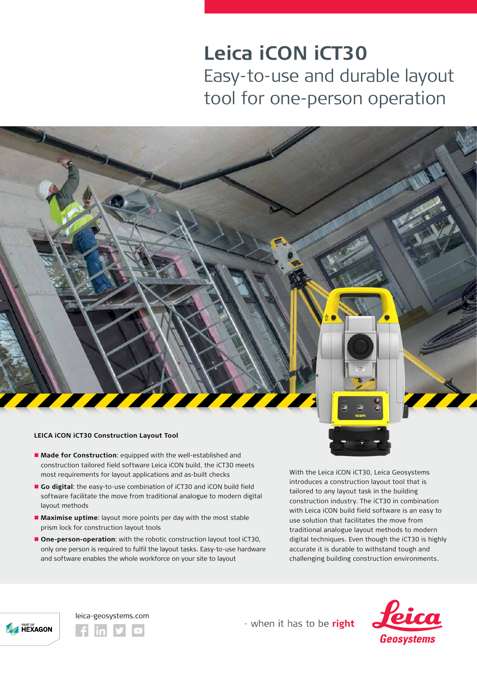## **Leica iCON iCT30** Easy-to-use and durable layout tool for one-person operation

## **LEICA iCON iCT30 Construction Layout Tool**

- **n** Made for Construction: equipped with the well-established and construction tailored field software Leica iCON build, the iCT30 meets most requirements for layout applications and as-built checks
- n **Go digital**: the easy-to-use combination of iCT30 and iCON build field software facilitate the move from traditional analogue to modern digital layout methods
- **n** Maximise uptime: layout more points per day with the most stable prism lock for construction layout tools
- **n** One-person-operation: with the robotic construction layout tool iCT30, only one person is required to fulfil the layout tasks. Easy-to-use hardware and software enables the whole workforce on your site to layout

With the Leica iCON iCT30, Leica Geosystems introduces a construction layout tool that is tailored to any layout task in the building construction industry. The iCT30 in combination with Leica iCON build field software is an easy to use solution that facilitates the move from traditional analogue layout methods to modern digital techniques. Even though the iCT30 is highly accurate it is durable to withstand tough and challenging building construction environments.



leica-geosystems.com

- when it has to be right